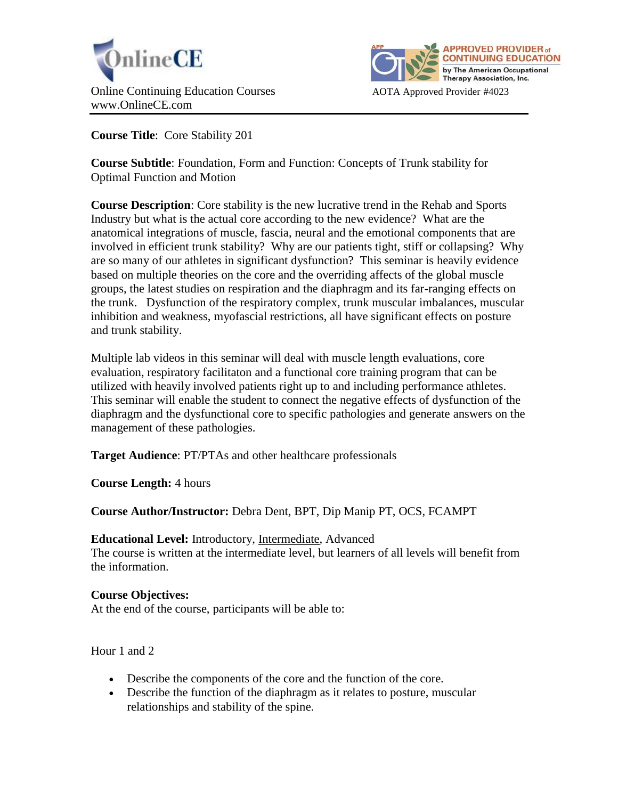



**Course Title**: Core Stability 201

**Course Subtitle**: Foundation, Form and Function: Concepts of Trunk stability for Optimal Function and Motion

**Course Description**: Core stability is the new lucrative trend in the Rehab and Sports Industry but what is the actual core according to the new evidence? What are the anatomical integrations of muscle, fascia, neural and the emotional components that are involved in efficient trunk stability? Why are our patients tight, stiff or collapsing? Why are so many of our athletes in significant dysfunction? This seminar is heavily evidence based on multiple theories on the core and the overriding affects of the global muscle groups, the latest studies on respiration and the diaphragm and its far-ranging effects on the trunk. Dysfunction of the respiratory complex, trunk muscular imbalances, muscular inhibition and weakness, myofascial restrictions, all have significant effects on posture and trunk stability.

Multiple lab videos in this seminar will deal with muscle length evaluations, core evaluation, respiratory facilitaton and a functional core training program that can be utilized with heavily involved patients right up to and including performance athletes. This seminar will enable the student to connect the negative effects of dysfunction of the diaphragm and the dysfunctional core to specific pathologies and generate answers on the management of these pathologies.

**Target Audience**: PT/PTAs and other healthcare professionals

**Course Length:** 4 hours

**Course Author/Instructor:** Debra Dent, BPT, Dip Manip PT, OCS, FCAMPT

**Educational Level:** Introductory, Intermediate, Advanced The course is written at the intermediate level, but learners of all levels will benefit from the information.

## **Course Objectives:**

At the end of the course, participants will be able to:

Hour 1 and 2

- Describe the components of the core and the function of the core.
- Describe the function of the diaphragm as it relates to posture, muscular relationships and stability of the spine.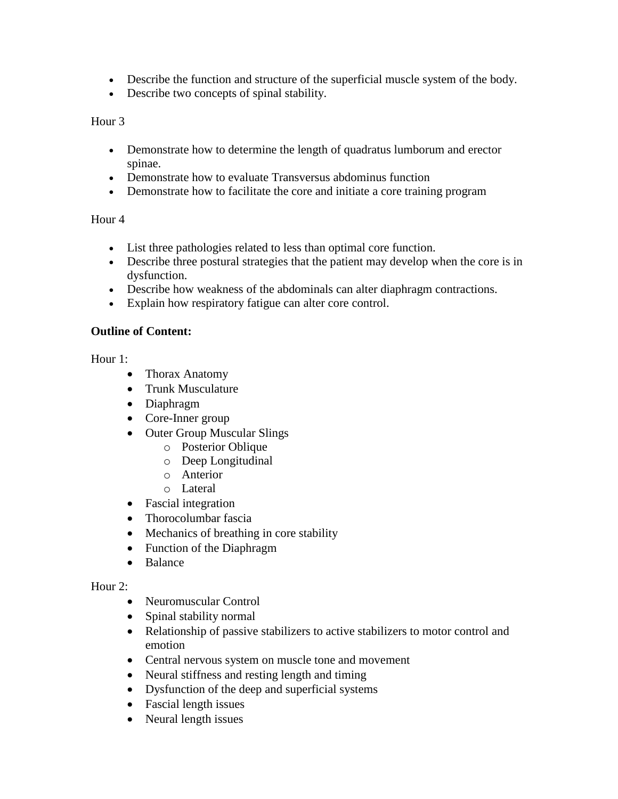- Describe the function and structure of the superficial muscle system of the body.
- Describe two concepts of spinal stability.

### Hour 3

- Demonstrate how to determine the length of quadratus lumborum and erector spinae.
- Demonstrate how to evaluate Transversus abdominus function
- Demonstrate how to facilitate the core and initiate a core training program

## Hour 4

- List three pathologies related to less than optimal core function.
- Describe three postural strategies that the patient may develop when the core is in dysfunction.
- Describe how weakness of the abdominals can alter diaphragm contractions.
- Explain how respiratory fatigue can alter core control.

## **Outline of Content:**

Hour 1:

- Thorax Anatomy
- Trunk Musculature
- Diaphragm
- Core-Inner group
- Outer Group Muscular Slings
	- o Posterior Oblique
	- o Deep Longitudinal
	- o Anterior
	- o Lateral
- Fascial integration
- Thorocolumbar fascia
- Mechanics of breathing in core stability
- Function of the Diaphragm
- Balance

## Hour 2:

- Neuromuscular Control
- Spinal stability normal
- Relationship of passive stabilizers to active stabilizers to motor control and emotion
- Central nervous system on muscle tone and movement
- Neural stiffness and resting length and timing
- Dysfunction of the deep and superficial systems
- Fascial length issues
- Neural length issues